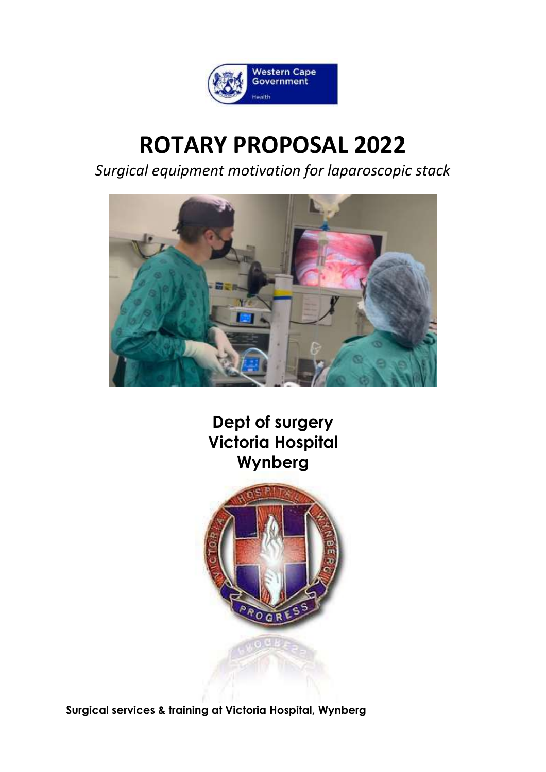

# **ROTARY PROPOSAL 2022**

*Surgical equipment motivation for laparoscopic stack*



**Dept of surgery Victoria Hospital Wynberg**



**Surgical services & training at Victoria Hospital, Wynberg**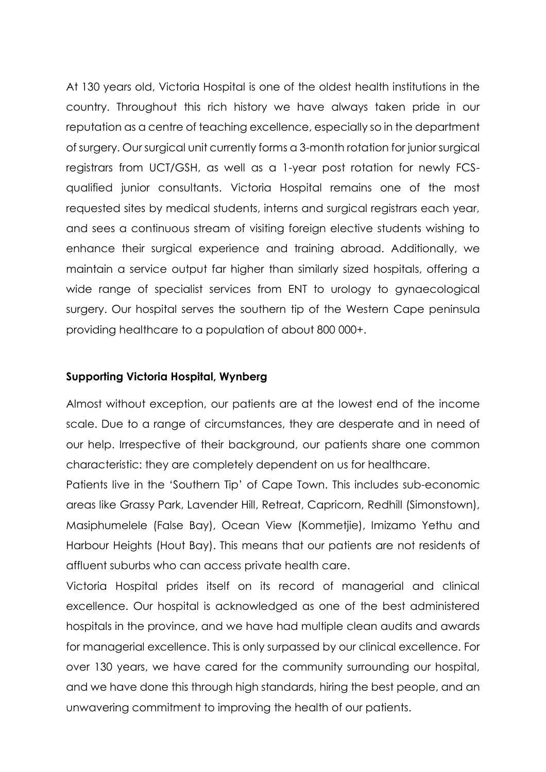At 130 years old, Victoria Hospital is one of the oldest health institutions in the country. Throughout this rich history we have always taken pride in our reputation as a centre of teaching excellence, especially so in the department of surgery. Our surgical unit currently forms a 3-month rotation for junior surgical registrars from UCT/GSH, as well as a 1-year post rotation for newly FCSqualified junior consultants. Victoria Hospital remains one of the most requested sites by medical students, interns and surgical registrars each year, and sees a continuous stream of visiting foreign elective students wishing to enhance their surgical experience and training abroad. Additionally, we maintain a service output far higher than similarly sized hospitals, offering a wide range of specialist services from ENT to urology to gynaecological surgery. Our hospital serves the southern tip of the Western Cape peninsula providing healthcare to a population of about 800 000+.

## **Supporting Victoria Hospital, Wynberg**

Almost without exception, our patients are at the lowest end of the income scale. Due to a range of circumstances, they are desperate and in need of our help. Irrespective of their background, our patients share one common characteristic: they are completely dependent on us for healthcare.

Patients live in the 'Southern Tip' of Cape Town. This includes sub-economic areas like Grassy Park, Lavender Hill, Retreat, Capricorn, Redhill (Simonstown), Masiphumelele (False Bay), Ocean View (Kommetjie), Imizamo Yethu and Harbour Heights (Hout Bay). This means that our patients are not residents of affluent suburbs who can access private health care.

Victoria Hospital prides itself on its record of managerial and clinical excellence. Our hospital is acknowledged as one of the best administered hospitals in the province, and we have had multiple clean audits and awards for managerial excellence. This is only surpassed by our clinical excellence. For over 130 years, we have cared for the community surrounding our hospital, and we have done this through high standards, hiring the best people, and an unwavering commitment to improving the health of our patients.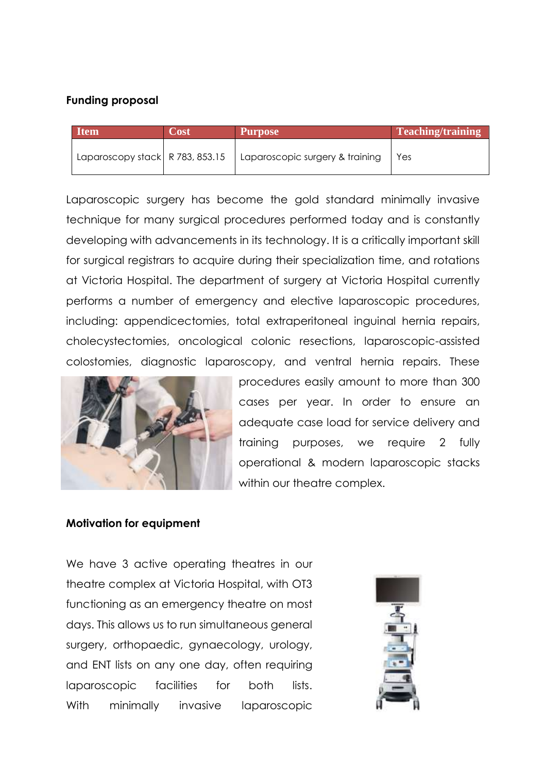## **Funding proposal**

| <b>Item</b>                     | Cost | <b>Purpose</b>                  | Teaching/training |
|---------------------------------|------|---------------------------------|-------------------|
| Laparoscopy stack R 783, 853.15 |      | Laparoscopic surgery & training | Yes.              |

Laparoscopic surgery has become the gold standard minimally invasive technique for many surgical procedures performed today and is constantly developing with advancements in its technology. It is a critically important skill for surgical registrars to acquire during their specialization time, and rotations at Victoria Hospital. The department of surgery at Victoria Hospital currently performs a number of emergency and elective laparoscopic procedures, including: appendicectomies, total extraperitoneal inguinal hernia repairs, cholecystectomies, oncological colonic resections, laparoscopic-assisted colostomies, diagnostic laparoscopy, and ventral hernia repairs. These



procedures easily amount to more than 300 cases per year. In order to ensure an adequate case load for service delivery and training purposes, we require 2 fully operational & modern laparoscopic stacks within our theatre complex.

## **Motivation for equipment**

We have 3 active operating theatres in our theatre complex at Victoria Hospital, with OT3 functioning as an emergency theatre on most days. This allows us to run simultaneous general surgery, orthopaedic, gynaecology, urology, and ENT lists on any one day, often requiring laparoscopic facilities for both lists. With minimally invasive laparoscopic

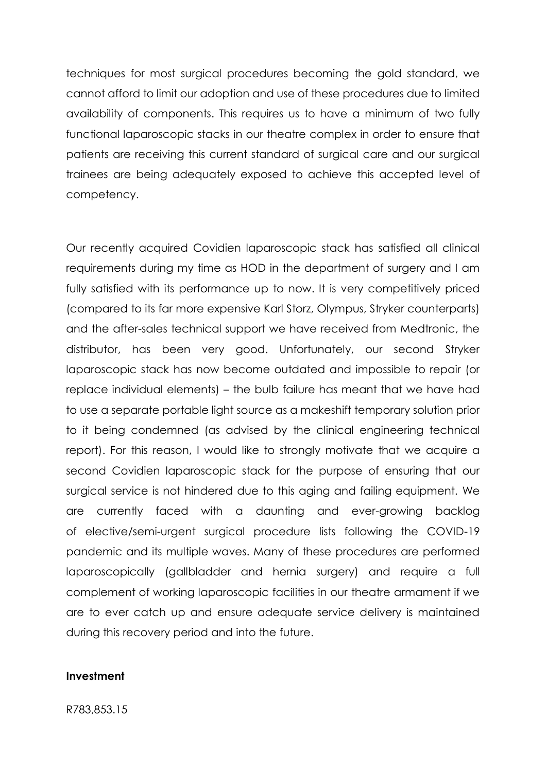techniques for most surgical procedures becoming the gold standard, we cannot afford to limit our adoption and use of these procedures due to limited availability of components. This requires us to have a minimum of two fully functional laparoscopic stacks in our theatre complex in order to ensure that patients are receiving this current standard of surgical care and our surgical trainees are being adequately exposed to achieve this accepted level of competency.

Our recently acquired Covidien laparoscopic stack has satisfied all clinical requirements during my time as HOD in the department of surgery and I am fully satisfied with its performance up to now. It is very competitively priced (compared to its far more expensive Karl Storz, Olympus, Stryker counterparts) and the after-sales technical support we have received from Medtronic, the distributor, has been very good. Unfortunately, our second Stryker laparoscopic stack has now become outdated and impossible to repair (or replace individual elements) – the bulb failure has meant that we have had to use a separate portable light source as a makeshift temporary solution prior to it being condemned (as advised by the clinical engineering technical report). For this reason, I would like to strongly motivate that we acquire a second Covidien laparoscopic stack for the purpose of ensuring that our surgical service is not hindered due to this aging and failing equipment. We are currently faced with a daunting and ever-growing backlog of elective/semi-urgent surgical procedure lists following the COVID-19 pandemic and its multiple waves. Many of these procedures are performed laparoscopically (gallbladder and hernia surgery) and require a full complement of working laparoscopic facilities in our theatre armament if we are to ever catch up and ensure adequate service delivery is maintained during this recovery period and into the future.

#### **Investment**

R783,853.15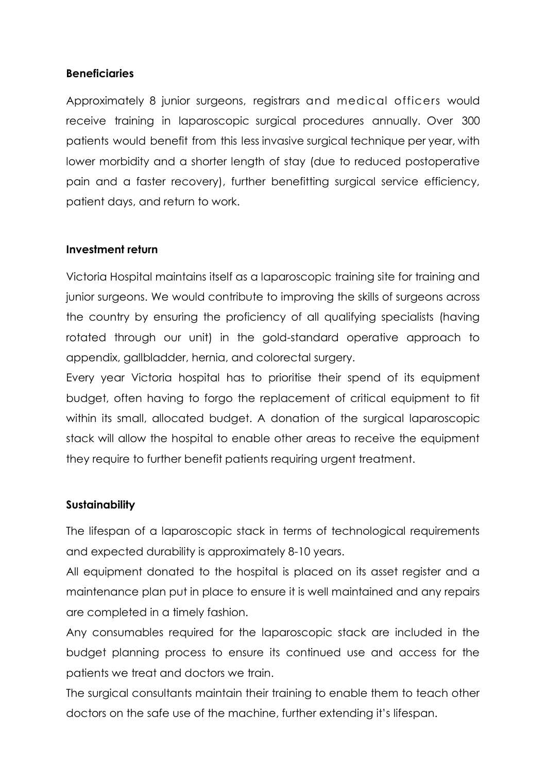# **Beneficiaries**

Approximately 8 junior surgeons, registrars and medical officers would receive training in laparoscopic surgical procedures annually. Over 300 patients would benefit from this less invasive surgical technique per year, with lower morbidity and a shorter length of stay (due to reduced postoperative pain and a faster recovery), further benefitting surgical service efficiency, patient days, and return to work.

# **Investment return**

Victoria Hospital maintains itself as a laparoscopic training site for training and junior surgeons. We would contribute to improving the skills of surgeons across the country by ensuring the proficiency of all qualifying specialists (having rotated through our unit) in the gold-standard operative approach to appendix, gallbladder, hernia, and colorectal surgery.

Every year Victoria hospital has to prioritise their spend of its equipment budget, often having to forgo the replacement of critical equipment to fit within its small, allocated budget. A donation of the surgical laparoscopic stack will allow the hospital to enable other areas to receive the equipment they require to further benefit patients requiring urgent treatment.

# **Sustainability**

The lifespan of a laparoscopic stack in terms of technological requirements and expected durability is approximately 8-10 years.

All equipment donated to the hospital is placed on its asset register and a maintenance plan put in place to ensure it is well maintained and any repairs are completed in a timely fashion.

Any consumables required for the laparoscopic stack are included in the budget planning process to ensure its continued use and access for the patients we treat and doctors we train.

The surgical consultants maintain their training to enable them to teach other doctors on the safe use of the machine, further extending it's lifespan.